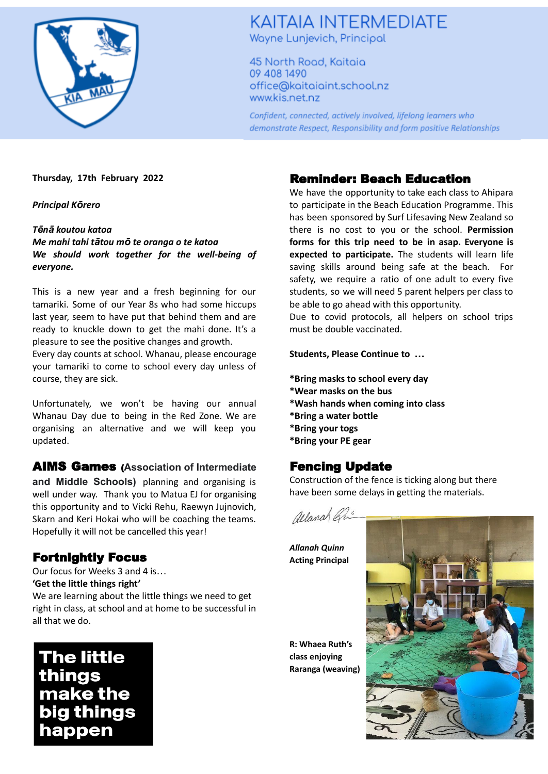

# **KAITAIA INTERMEDIATE** Wayne Lunjevich, Principal

45 North Road, Kaitaia 09 408 1490 office@kaitaiaint.school.nz www.kis.net.nz

Confident, connected, actively involved, lifelong learners who demonstrate Respect, Responsibility and form positive Relationships

#### **Thursday, 17th February 2022**

*Principal Kōrero*

#### *Tēnā koutou katoa*

*Me mahi tahi tātou mō te oranga o te katoa We should work together for the well-being of everyone.*

This is a new year and a fresh beginning for our tamariki. Some of our Year 8s who had some hiccups last year, seem to have put that behind them and are ready to knuckle down to get the mahi done. It's a pleasure to see the positive changes and growth.

Every day counts at school. Whanau, please encourage your tamariki to come to school every day unless of course, they are sick.

Unfortunately, we won't be having our annual Whanau Day due to being in the Red Zone. We are organising an alternative and we will keep you updated.

### AIMS Games (**Association of Intermediate**

**and Middle Schools)** planning and organising is well under way. Thank you to Matua EJ for organising this opportunity and to Vicki Rehu, Raewyn Jujnovich, Skarn and Keri Hokai who will be coaching the teams. Hopefully it will not be cancelled this year!

### Fortnightly Focus

Our focus for Weeks 3 and 4 is… **'Get the little things right'**

We are learning about the little things we need to get right in class, at school and at home to be successful in all that we do.

**The little** things make the big things happen

### Reminder: Beach Education

We have the opportunity to take each class to Ahipara to participate in the Beach Education Programme. This has been sponsored by Surf Lifesaving New Zealand so there is no cost to you or the school. **Permission forms for this trip need to be in asap. Everyone is expected to participate.** The students will learn life saving skills around being safe at the beach. For safety, we require a ratio of one adult to every five students, so we will need 5 parent helpers per class to be able to go ahead with this opportunity.

Due to covid protocols, all helpers on school trips must be double vaccinated.

#### **Students, Please Continue to …**

- **\*Bring masks to school every day**
- **\*Wear masks on the bus**
- **\*Wash hands when coming into class**
- **\*Bring a water bottle**
- **\*Bring your togs**
- **\*Bring your PE gear**

## Fencing Update

Construction of the fence is ticking along but there have been some delays in getting the materials.



*Allanah Quinn* **Acting Principal**

**R: Whaea Ruth's class enjoying Raranga (weaving)**